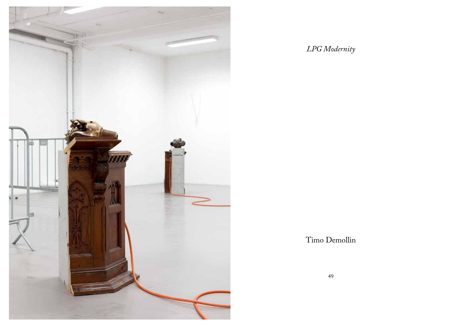

*LPG Modernity*

Timo Demollin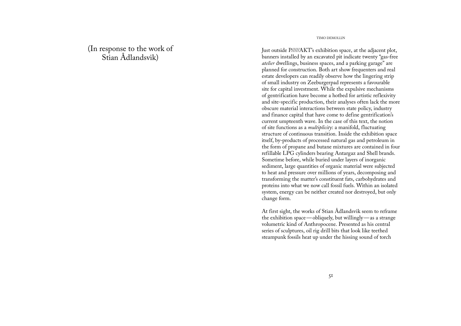(In response to the work of Stian Ådlandsvik)

TIMO DEMOLLIN

Just outside P/////AKT's exhibition space, at the adjacent plot, banners installed by an excavated pit indicate twenty "gas-free *atelier* dwellings, business spaces, and a parking garage" are planned for construction. Both art show frequenters and real estate developers can readily observe how the lingering strip of small industry on Zeeburgerpad represents a favourable site for capital investment. While the expulsive mechanisms of gentrification have become a hotbed for artistic reflexivity and site-specific production, their analyses often lack the more obscure material interactions between state policy, industry and finance capital that have come to define gentrification's current umpteenth wave. In the case of this text, the notion of site functions as a *multiplicity*: a manifold, fluctuating structure of continuous transition. Inside the exhibition space itself, by-products of processed natural gas and petroleum in the form of propane and butane mixtures are contained in four refillable LPG cylinders bearing Antargaz and Shell brands. Sometime before, while buried under layers of inorganic sediment, large quantities of organic material were subjected to heat and pressure over millions of years, decomposing and transforming the matter's constituent fats, carbohydrates and proteins into what we now call fossil fuels. Within an isolated system, energy can be neither created nor destroyed, but only change form.

At first sight, the works of Stian Ådlandsvik seem to reframe the exhibition space —obliquely, but willingly —as a strange volumetric kind of Anthropocene. Presented as his central series of sculptures, oil rig drill bits that look like teethed steampunk fossils heat up under the hissing sound of torch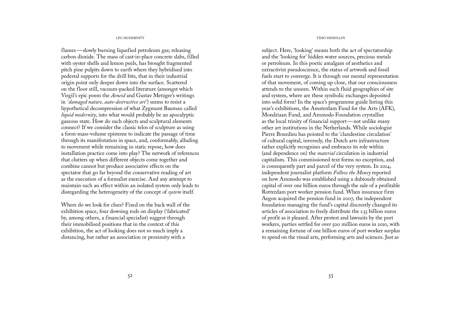flames—slowly burning liquefied petroleum gas; releasing carbon dioxide. The mass of cast-in-place concrete slabs, filled with oyster shells and lemon peels, has brought fragmented pitch pine pulpits down to earth where they hybridised into pedestal supports for the drill bits, that in their industrial origin point only deeper down into the surface. Scattered on the floor still, vacuum-packed literature (amongst which Virgil's epic poem the *Aeneid* and Gustav Metzger's writings in *'damaged nature, auto-destructive art'*) seems to resist a hypothetical decompression of what Zygmunt Bauman called *liquid modernity*, into what would probably be an apocalyptic gaseous state. How do such objects and sculptural elements connect? If we consider the classic telos of sculpture as using a form-mass-volume episteme to indicate the passage of time through its manifestation in space, and, conformably, alluding to movement while remaining in static repose, how does installation practice come into play? The network of references that clutters up when different objects come together and combine cannot but produce associative effects on the spectator that go far beyond the conservative reading of art as the execution of a formalist exercise. And any attempt to maintain such an effect within an isolated system only leads to disregarding the heterogeneity of the concept of *system* itself.

Where do we look for clues? Fixed on the back wall of the exhibition space, four dowsing rods on display ('fabricated' by, among others, a financial specialist) suggest through their immobilised positions that in the context of this exhibition, the act of looking does not so much imply a distancing, but rather an association or proximity with a

## LPG MODERNITY TIMO DEMOLLIN

subject. Here, 'looking' means both the act of spectatorship and the 'looking for' hidden water sources, precious metals or petroleum. In this poetic amalgam of aesthetics and extractivist pseudoscience, the status of artwork and fossil fuels start to converge. It is through our mental representation of that movement, of coming up close, that our consciousness attends to the unseen. Within such fluid geographies of site and system, where are these symbolic exchanges deposited into solid form? In the space's programme guide listing this year's exhibitions, the Amsterdam Fund for the Arts (AFK), Mondriaan Fund, and Ammodo Foundation crystallise as the local trinity of financial support—not unlike many other art institutions in the Netherlands. While sociologist Pierre Bourdieu has pointed to the 'clandestine circulation' of cultural capital, inversely, the Dutch arts infrastructure rather explicitly recognises and embraces its role within (and dependence on) the *material* circulation in industrial capitalism. This commissioned text forms no exception, and is consequently part and parcel of the very system. In 2014, independent journalist platform *Follow the Money* reported on how Ammodo was established using a dubiously obtained capital of over one billion euros through the sale of a profitable Rotterdam port worker pension fund. When insurance firm Aegon acquired the pension fund in 2007, the independent foundation managing the fund's capital discreetly changed its articles of association to freely distribute the 1.55 billion euros of profit as it pleased. After protest and lawsuits by the port workers, parties settled for over 500 million euros in 2010, with a remaining fortune of one billion euros of port worker surplus to spend on the visual arts, performing arts and sciences. Just as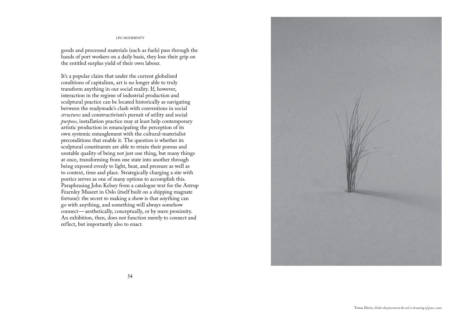goods and processed materials (such as fuels) pass through the hands of port workers on a daily basis, they lose their grip on the entitled surplus yield of their own labour.

It's a popular claim that under the current globalised conditions of capitalism, art is no longer able to truly transform anything in our social reality. If, however, interaction in the regime of industrial production and sculptural practice can be located historically as navigating between the readymade's clash with conventions in social *structures* and constructivism's pursuit of utility and social *purpose*, installation practice may at least help contemporary artistic production in emancipating the perception of its own systemic entanglement with the cultural-materialist preconditions that enable it. The question is whether its sculptural constituents are able to retain their porous and unstable quality of being not just one thing, but many things at once, transforming from one state into another through being exposed evenly to light, heat, and pressure as well as to context, time and place. Strategically charging a site with poetics serves as one of many options to accomplish this. Paraphrasing John Kelsey from a catalogue text for the Astrup Fearnley Museet in Oslo (itself built on a shipping magnate fortune): the secret to making a show is that anything can go with anything, and something will always somehow connect—aesthetically, conceptually, or by mere proximity. An exhibition, then, does not function merely to connect and reflect, but importantly also to enact.

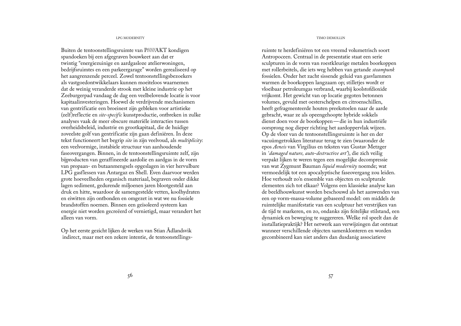Buiten de tentoonstellingsruimte van P/////AKT kondigen spandoeken bij een afgegraven bouwkeet aan dat er twintig "energiezuinige en aardgasloze atelierwoningen, bedrijfsruimtes en een parkeergarage" worden gerealiseerd op het aangrenzende perceel. Zowel tentoonstellingsbezoekers als vastgoedontwikkelaars kunnen moeiteloos waarnemen dat de weinig veranderde strook met kleine industrie op het Zeeburgerpad vandaag de dag een veelbelovende locatie is voor kapitaalinvesteringen. Hoewel de verdrijvende mechanismen van gentrificatie een broeinest zijn gebleken voor artistieke (zelf)reflectie en *site-specific* kunstproductie, ontbreken in zulke analyses vaak de meer obscure materiële interacties tussen overheidsbeleid, industrie en grootkapitaal, die de huidige zoveelste golf van gentrificatie zijn gaan definiëren. In deze tekst functioneert het begrip *site* in zijn veelvoud, als *multiplicity*: een veelvormige, instabiele structuur van aanhoudende faseovergangen. Binnen, in de tentoonstellingsruimte zelf, zijn bijproducten van geraffineerde aardolie en aardgas in de vorm van propaan- en butaanmengsels opgeslagen in vier hervulbare LPG gasflessen van Antargaz en Shell. Even daarvoor werden grote hoeveelheden organisch materiaal, begraven onder dikke lagen sediment, gedurende miljoenen jaren blootgesteld aan druk en hitte, waardoor de samengestelde vetten, koolhydraten en eiwitten zijn ontbonden en omgezet in wat we nu fossiele brandstoffen noemen. Binnen een geïsoleerd systeem kan energie niet worden gecreëerd of vernietigd, maar verandert het alleen van vorm.

Op het eerste gezicht lijken de werken van Stian Ådlandsvik indirect, maar met een zekere intentie, de tentoonstellings-

### LPG MODERNITY TIMO DEMOLLIN

ruimte te herdefiniëren tot een vreemd volumetrisch soort Antropoceen. Centraal in de presentatie staat een serie sculpturen in de vorm van roestkleurige metalen boorkoppen met rollerbeitels, die iets weg hebben van getande *steampunk* fossielen. Onder het zacht sissende geluid van gasvlammen warmen de boorkoppen langzaam op; stilletjes wordt er vloeibaar petroleumgas verbrand, waarbij koolstofdioxide vrijkomt. Het gewicht van op locatie gegoten betonnen volumes, gevuld met oesterschelpen en citroenschillen, heeft gefragmenteerde houten preekstoelen naar de aarde gebracht, waar ze als opeengehoopte hybride sokkels dienst doen voor de boorkoppen—die in hun industriële oorsprong nog dieper richting het aardoppervlak wijzen. Op de vloer van de tentoonstellingsruimte is her en der vacuümgetrokken literatuur terug te zien (waaronder de epos *Aeneis* van Virgilius en teksten van Gustav Metzger in *'damaged nature, auto-destructive art'*), die zich veilig verpakt lijken te weren tegen een mogelijke decompressie van wat Zygmunt Bauman *liquid modernity* noemde; wat vermoedelijk tot een apocalyptische faseovergang zou leiden. Hoe verhoudt zo'n ensemble van objecten en sculpturale elementen zich tot elkaar? Volgens een klassieke analyse kan de beeldhouwkunst worden beschouwd als het aanwenden van een op vorm-massa-volume gebaseerd model: om middels de ruimtelijke manifestatie van een sculptuur het verstrijken van de tijd te markeren, en zo, ondanks zijn feitelijke stilstand, een dynamiek en beweging te suggereren. Welke rol speelt dan de installatiepraktijk? Het netwerk aan verwijzingen dat ontstaat wanneer verschillende objecten samenklonteren en worden gecombineerd kan niet anders dan dusdanig associatieve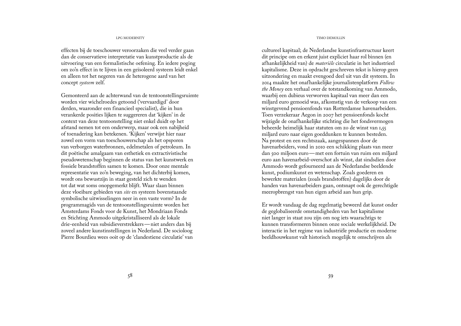effecten bij de toeschouwer veroorzaken die veel verder gaan dan de conservatieve interpretatie van kunstproductie als de uitvoering van een formalistische oefening. En iedere poging om zo'n effect in te lijven in een geïsoleerd systeem leidt enkel en alleen tot het negeren van de heterogene aard van het concept *systeem* zelf.

Gemonteerd aan de achterwand van de tentoonstellingsruimte worden vier wichelroedes getoond ('vervaardigd' door derden, waaronder een financieel specialist), die in hun verankerde posities lijken te suggereren dat 'kijken' in de context van deze tentoonstelling niet enkel duidt op het afstand nemen tot een onderwerp, maar ook een nabijheid of toenadering kan betekenen. 'Kijken' verwijst hier naar zowel een vorm van toeschouwerschap als het opsporen van verborgen waterbronnen, edelmetalen of petroleum. In dit poëtische amalgaam van esthetiek en extractivistische pseudowetenschap beginnen de status van het kunstwerk en fossiele brandstoffen samen te komen. Door onze mentale representatie van zo'n beweging, van het dichterbij komen, wordt ons bewustzijn in staat gesteld zich te wenden tot dat wat soms onopgemerkt blijft. Waar slaan binnen deze vloeibare gebieden van *site* en systeem bovenstaande symbolische uitwisselingen neer in een vaste vorm? In de programmagids van de tentoonstellingsruimte worden het Amsterdams Fonds voor de Kunst, het Mondriaan Fonds en Stichting Ammodo uitgekristalliseerd als de lokale drie-eenheid van subsidieverstrekkers—niet anders dan bij zoveel andere kunstinstellingen in Nederland. De socioloog Pierre Bourdieu wees ooit op de 'clandestiene circulatie' van

## LPG MODERNITY TIMO DEMOLLIN

cultureel kapitaal; de Nederlandse kunstinfrastructuur keert dit principe om en erkent juist expliciet haar rol binnen (en afhankelijkheid van) de *materiële* circulatie in het industrieel kapitalisme. Deze in opdracht geschreven tekst is hierop geen uitzondering en maakt evengoed deel uit van dit systeem. In 2014 maakte het onafhankelijke journalistenplatform *Follow the Money* een verhaal over de totstandkoming van Ammodo, waarbij een dubieus verworven kapitaal van meer dan een miljard euro gemoeid was, afkomstig van de verkoop van een winstgevend pensioenfonds van Rotterdamse havenarbeiders. Toen verzekeraar Aegon in 2007 het pensioenfonds kocht wijzigde de onafhankelijke stichting die het fondsvermogen beheerde heimelijk haar statuten om zo de winst van 1,55 miljard euro naar eigen goeddunken te kunnen besteden. Na protest en een rechtszaak, aangespannen door de havenarbeiders, vond in 2010 een schikking plaats van meer dan 500 miljoen euro—met een fortuin van ruim een miljard euro aan havenarbeid-overschot als winst, dat sindsdien door Ammodo wordt gefourneerd aan de Nederlandse beeldende kunst, podiumkunst en wetenschap. Zoals goederen en bewerkte materialen (zoals brandstoffen) dagelijks door de handen van havenarbeiders gaan, ontsnapt ook de gerechtigde meeropbrengst van hun eigen arbeid aan hun grip.

Er wordt vandaag de dag regelmatig beweerd dat kunst onder de geglobaliseerde omstandigheden van het kapitalisme niet langer in staat zou zijn om nog iets waarachtigs te kunnen transformeren binnen onze sociale werkelijkheid. De interactie in het regime van industriële productie en moderne beeldhouwkunst valt historisch mogelijk te omschrijven als